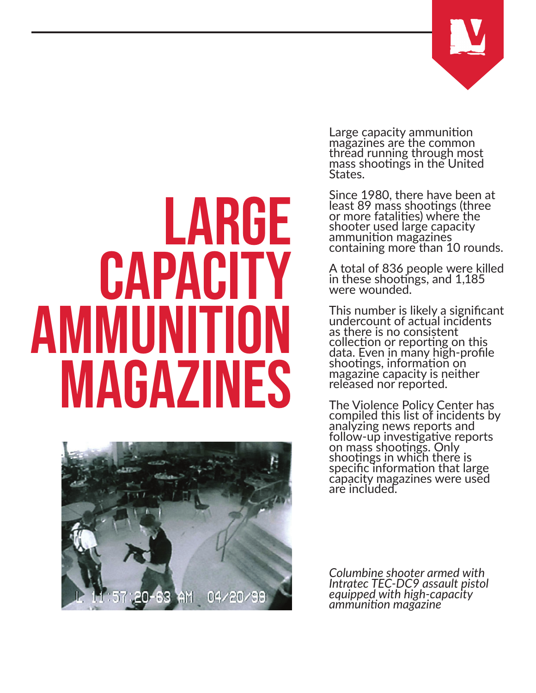

# LARGE **CAPACITY** ammunition magazines



Large capacity ammunition magazines are the common thread running through most mass shootings in the United States.

Since 1980, there have been at least 89 mass shootings (three or more fatalities) where the shooter used large capacity ammunition magazines containing more than 10 rounds.

A total of 836 people were killed in these shootings, and 1,185 were wounded.

This number is likely a significant undercount of actual incidents as there is no consistent collection or reporting on this data. Even in many high-profile shootings, information on magazine capacity is neither released nor reported.

The Violence Policy Center has compiled this list of incidents by analyzing news reports and follow-up investigative reports on mass shootings. Only shootings in which there is specific information that large capacity magazines were used are included.

*Columbine shooter armed with Intratec TEC-DC9 assault pistol equipped with high-capacity ammunition magazine*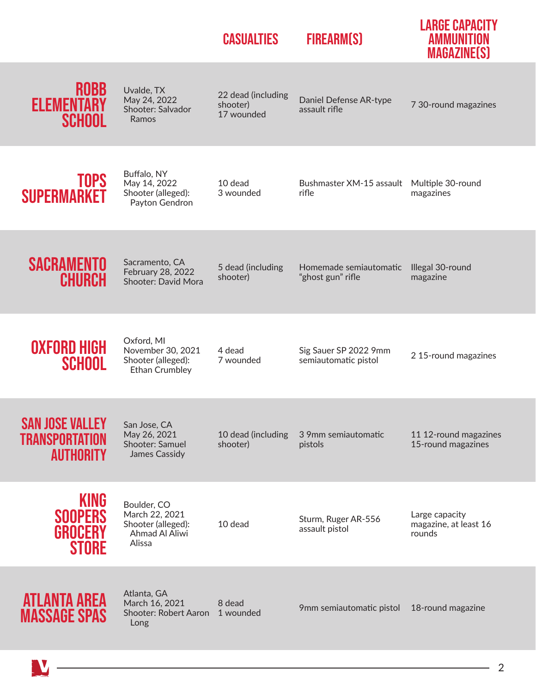

| <b>ROBB</b><br><b>ELEMENTARY</b><br><b>SCHOOL</b>               | Uvalde, TX<br>May 24, 2022<br>Shooter: Salvador<br>Ramos                        | 22 dead (including<br>shooter)<br>17 wounded | Daniel Defense AR-type<br>assault rifle       | 7 30-round magazines                              |
|-----------------------------------------------------------------|---------------------------------------------------------------------------------|----------------------------------------------|-----------------------------------------------|---------------------------------------------------|
| <b>TOPS</b><br><b>SUPERMARKET</b>                               | Buffalo, NY<br>May 14, 2022<br>Shooter (alleged):<br>Payton Gendron             | 10 dead<br>3 wounded                         | Bushmaster XM-15 assault<br>rifle             | Multiple 30-round<br>magazines                    |
| <b>SACRAMENTO</b><br>CHURCH                                     | Sacramento, CA<br>February 28, 2022<br>Shooter: David Mora                      | 5 dead (including<br>shooter)                | Homemade semiautomatic<br>"ghost gun" rifle   | Illegal 30-round<br>magazine                      |
| <b>OXFORD HIGH</b><br><b>SCHOOL</b>                             | Oxford, MI<br>November 30, 2021<br>Shooter (alleged):<br><b>Ethan Crumbley</b>  | 4 dead<br>7 wounded                          | Sig Sauer SP 2022 9mm<br>semiautomatic pistol | 215-round magazines                               |
| <b>SAN JOSE VALLEY</b><br>TRANSPORTATION<br><b>AUTHORITY</b>    | San Jose, CA<br>May 26, 2021<br>Shooter: Samuel<br>James Cassidy                | 10 dead (including<br>shooter)               | 3 9mm semiautomatic<br>pistols                | 11 12-round magazines<br>15-round magazines       |
| <b>KING</b><br><b>SOOPERS</b><br><b>GROCERY</b><br><b>STORE</b> | Boulder, CO<br>March 22, 2021<br>Shooter (alleged):<br>Ahmad Al Aliwi<br>Alissa | 10 dead                                      | Sturm, Ruger AR-556<br>assault pistol         | Large capacity<br>magazine, at least 16<br>rounds |
| <b>ATLANTA AREA</b><br><b>MASSAGE SPAS</b>                      | Atlanta, GA<br>March 16, 2021<br>Shooter: Robert Aaron<br>Long                  | 8 dead<br>1 wounded                          | 9mm semiautomatic pistol                      | 18-round magazine                                 |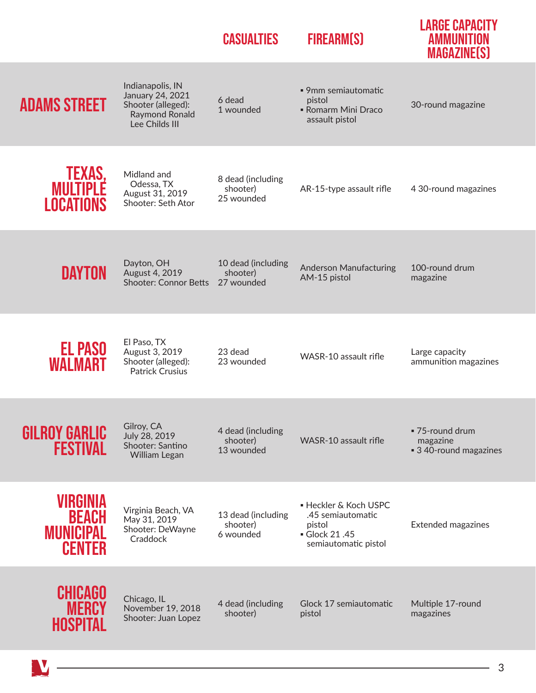

| <b>ADAMS STREET</b>                                           | Indianapolis, IN<br>January 24, 2021<br>Shooter (alleged):<br>Raymond Ronald<br>Lee Childs III | 6 dead<br>1 wounded                          | • 9mm semiautomatic<br>pistol<br>• Romarm Mini Draco<br>assault pistol                      | 30-round magazine                                     |
|---------------------------------------------------------------|------------------------------------------------------------------------------------------------|----------------------------------------------|---------------------------------------------------------------------------------------------|-------------------------------------------------------|
| TEXAS,<br>MULTIPLÉ<br><b>LOCATIONS</b>                        | Midland and<br>Odessa, TX<br>August 31, 2019<br>Shooter: Seth Ator                             | 8 dead (including<br>shooter)<br>25 wounded  | AR-15-type assault rifle                                                                    | 4 30-round magazines                                  |
| <b>DAYTON</b>                                                 | Dayton, OH<br>August 4, 2019<br><b>Shooter: Connor Betts</b>                                   | 10 dead (including<br>shooter)<br>27 wounded | <b>Anderson Manufacturing</b><br>AM-15 pistol                                               | 100-round drum<br>magazine                            |
| <b>EL PASO</b><br><b>WALMART</b>                              | El Paso, TX<br>August 3, 2019<br>Shooter (alleged):<br><b>Patrick Crusius</b>                  | 23 dead<br>23 wounded                        | WASR-10 assault rifle                                                                       | Large capacity<br>ammunition magazines                |
| <b>GILROY GARLIC</b>                                          | Gilroy, CA<br>July 28, 2019<br>Shooter: Santino<br>William Legan                               | 4 dead (including<br>shooter)<br>13 wounded  | WASR-10 assault rifle                                                                       | - 75-round drum<br>magazine<br>• 3 40-round magazines |
| VIRGINIA<br><b>BEACH</b><br><b>MUNICIPAL</b><br><b>CENTER</b> | Virginia Beach, VA<br>May 31, 2019<br>Shooter: DeWayne<br>Craddock                             | 13 dead (including<br>shooter)<br>6 wounded  | · Heckler & Koch USPC<br>.45 semiautomatic<br>pistol<br>Glock 21.45<br>semiautomatic pistol | <b>Extended magazines</b>                             |
| <b>CHICAGO</b><br><b>MERCY</b><br><b>HOSPITAL</b>             | Chicago, IL<br>November 19, 2018<br>Shooter: Juan Lopez                                        | 4 dead (including<br>shooter)                | Glock 17 semiautomatic<br>pistol                                                            | Multiple 17-round<br>magazines                        |

3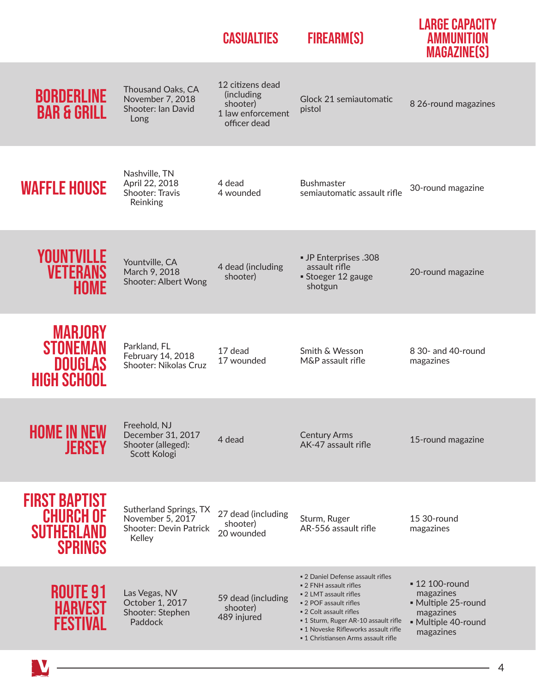|                                                                                 |                                                                                | <b>CASUALTIES</b>                                                                | <b>FIREARM(S)</b>                                                                                                                                                                                                                                                        | <b>LARGE CAPACITY</b><br><b>AMMUNITION</b><br><b>MAGAZINE(S)</b>                                         |
|---------------------------------------------------------------------------------|--------------------------------------------------------------------------------|----------------------------------------------------------------------------------|--------------------------------------------------------------------------------------------------------------------------------------------------------------------------------------------------------------------------------------------------------------------------|----------------------------------------------------------------------------------------------------------|
| <b>BORDERLINE</b><br><b>BAR &amp; GRILL</b>                                     | Thousand Oaks, CA<br>November 7, 2018<br>Shooter: Ian David<br>Long            | 12 citizens dead<br>(including)<br>shooter)<br>1 law enforcement<br>officer dead | Glock 21 semiautomatic<br>pistol                                                                                                                                                                                                                                         | 8 26-round magazines                                                                                     |
| <b>WAFFLE HOUSE</b>                                                             | Nashville, TN<br>April 22, 2018<br><b>Shooter: Travis</b><br>Reinking          | 4 dead<br>4 wounded                                                              | Bushmaster<br>semiautomatic assault rifle                                                                                                                                                                                                                                | 30-round magazine                                                                                        |
| YOUNTVILLE<br><b>VETERANS</b><br>HOME                                           | Yountville, CA<br>March 9, 2018<br>Shooter: Albert Wong                        | 4 dead (including<br>shooter)                                                    | - JP Enterprises .308<br>assault rifle<br>Stoeger 12 gauge<br>shotgun                                                                                                                                                                                                    | 20-round magazine                                                                                        |
| <b>MARJORY</b><br>STONEMAN<br><b>DOUGLAS</b><br><b>HIGH SCHOOL</b>              | Parkland, FL<br>February 14, 2018<br>Shooter: Nikolas Cruz                     | 17 dead<br>17 wounded                                                            | Smith & Wesson<br>M&P assault rifle                                                                                                                                                                                                                                      | 8 30- and 40-round<br>magazines                                                                          |
| <b>HOME IN NEW</b><br><b>JERSEY</b>                                             | Freehold, NJ<br>December 31, 2017<br>Shooter (alleged):<br>Scott Kologi        | 4 dead                                                                           | <b>Century Arms</b><br>AK-47 assault rifle                                                                                                                                                                                                                               | 15-round magazine                                                                                        |
| <b>FIRST BAPTIST</b><br><b>CHURCH OF</b><br><b>SUTHERLAND</b><br><b>SPRINGS</b> | Sutherland Springs, TX<br>November 5, 2017<br>Shooter: Devin Patrick<br>Kelley | 27 dead (including<br>shooter)<br>20 wounded                                     | Sturm, Ruger<br>AR-556 assault rifle                                                                                                                                                                                                                                     | 15 30-round<br>magazines                                                                                 |
| <b>ROUTE 91</b><br><b>HARVEST</b><br><b>FESTIVAL</b>                            | Las Vegas, NV<br>October 1, 2017<br>Shooter: Stephen<br>Paddock                | 59 dead (including<br>shooter)<br>489 injured                                    | • 2 Daniel Defense assault rifles<br>• 2 FNH assault rifles<br>■ 2 LMT assault rifles<br>• 2 POF assault rifles<br>• 2 Colt assault rifles<br>• 1 Sturm, Ruger AR-10 assault rifle<br><b>• 1 Noveske Rifleworks assault rifle</b><br>• 1 Christiansen Arms assault rifle | <b>12 100-round</b><br>magazines<br>• Multiple 25-round<br>magazines<br>• Multiple 40-round<br>magazines |

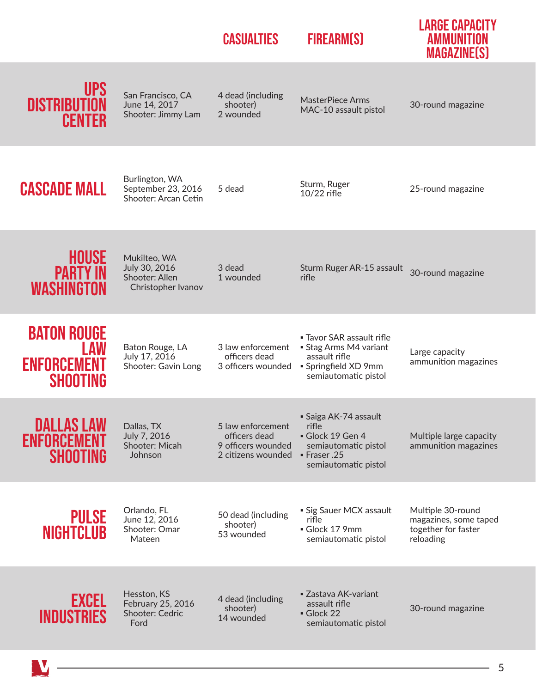

| UPS<br><b>DISTRIBUTION</b><br><b>CENTER</b>                        | San Francisco, CA<br>June 14, 2017<br>Shooter: Jimmy Lam              | 4 dead (including<br>shooter)<br>2 wounded                                     | <b>MasterPiece Arms</b><br>MAC-10 assault pistol                                                                     | 30-round magazine                                                              |
|--------------------------------------------------------------------|-----------------------------------------------------------------------|--------------------------------------------------------------------------------|----------------------------------------------------------------------------------------------------------------------|--------------------------------------------------------------------------------|
| <b>CASCADE MALL</b>                                                | Burlington, WA<br>September 23, 2016<br>Shooter: Arcan Cetin          | 5 dead                                                                         | Sturm, Ruger<br>10/22 rifle                                                                                          | 25-round magazine                                                              |
| <b>HOUSE</b><br><b>PARTY IN</b><br>WASHINGTON                      | Mukilteo, WA<br>July 30, 2016<br>Shooter: Allen<br>Christopher Ivanov | 3 dead<br>1 wounded                                                            | Sturm Ruger AR-15 assault<br>rifle                                                                                   | 30-round magazine                                                              |
| <b>BATON ROUGE</b><br>LAW<br><b>ENFORCEMENT</b><br><b>SHOOTING</b> | Baton Rouge, LA<br>July 17, 2016<br>Shooter: Gavin Long               | 3 law enforcement<br>officers dead<br>3 officers wounded                       | • Tavor SAR assault rifle<br>• Stag Arms M4 variant<br>assault rifle<br>• Springfield XD 9mm<br>semiautomatic pistol | Large capacity<br>ammunition magazines                                         |
| <b>DALLAS LAW</b><br>ENFORCEMENT<br>SHOOTI                         | Dallas, TX<br>July 7, 2016<br>Shooter: Micah<br>Johnson               | 5 law enforcement<br>officers dead<br>9 officers wounded<br>2 citizens wounded | • Saiga AK-74 assault<br>rifle<br>Glock 19 Gen 4<br>semiautomatic pistol<br>■ Fraser .25<br>semiautomatic pistol     | Multiple large capacity<br>ammunition magazines                                |
| <b>PULSE</b><br><b>NIGHTCLUB</b>                                   | Orlando, FL<br>June 12, 2016<br>Shooter: Omar<br>Mateen               | 50 dead (including<br>shooter)<br>53 wounded                                   | · Sig Sauer MCX assault<br>rifle<br>Glock 17 9mm<br>semiautomatic pistol                                             | Multiple 30-round<br>magazines, some taped<br>together for faster<br>reloading |
| <b>EXCEL</b><br><b>INDUSTRIES</b>                                  | Hesston, KS<br>February 25, 2016<br>Shooter: Cedric<br>Ford           | 4 dead (including<br>shooter)<br>14 wounded                                    | ■ Zastava AK-variant<br>assault rifle<br>Glock 22<br>semiautomatic pistol                                            | 30-round magazine                                                              |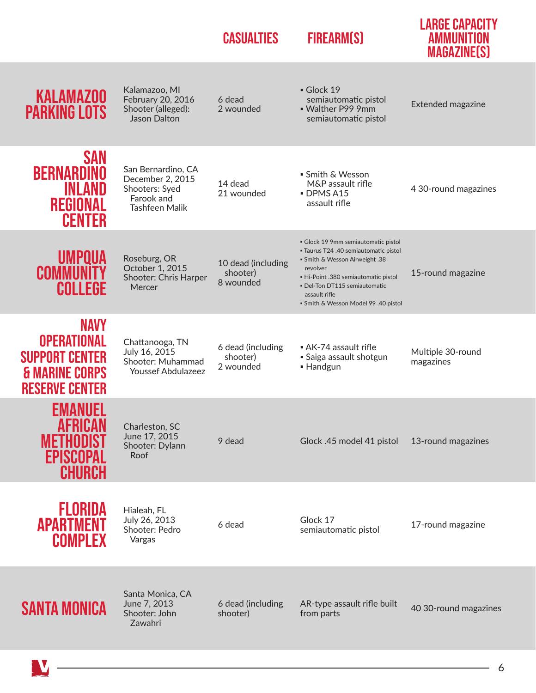

| KALAMAZOO<br><b>PARKING LOTS</b>                                                                                 | Kalamazoo, MI<br>February 20, 2016<br>Shooter (alleged):<br>Jason Dalton                        | 6 dead<br>2 wounded                         | $\blacksquare$ Glock 19<br>semiautomatic pistol<br>· Walther P99 9mm<br>semiautomatic pistol                                                                                                                                                               | Extended magazine              |
|------------------------------------------------------------------------------------------------------------------|-------------------------------------------------------------------------------------------------|---------------------------------------------|------------------------------------------------------------------------------------------------------------------------------------------------------------------------------------------------------------------------------------------------------------|--------------------------------|
| <b>SAN</b><br>BERNARDINO<br>INLAND<br><b>REGIONAL</b><br><b>CENTER</b>                                           | San Bernardino, CA<br>December 2, 2015<br>Shooters: Syed<br>Farook and<br><b>Tashfeen Malik</b> | 14 dead<br>21 wounded                       | ■ Smith & Wesson<br>M&P assault rifle<br><b>DPMS A15</b><br>assault rifle                                                                                                                                                                                  | 4 30-round magazines           |
| UMPQUA<br><b>COMMUNITY</b><br>COLLEGE                                                                            | Roseburg, OR<br>October 1, 2015<br>Shooter: Chris Harper<br>Mercer                              | 10 dead (including<br>shooter)<br>8 wounded | · Glock 19 9mm semiautomatic pistol<br>· Taurus T24 .40 semiautomatic pistol<br>Smith & Wesson Airweight .38<br>revolver<br>• Hi-Point .380 semiautomatic pistol<br>· Del-Ton DT115 semiautomatic<br>assault rifle<br>. Smith & Wesson Model 99 .40 pistol | 15-round magazine              |
| <b>NAVY</b><br><b>OPERATIONAL</b><br><b>SUPPORT CENTER</b><br><b>&amp; MARINE CORPS</b><br><b>RESERVE CENTER</b> | Chattanooga, TN<br>July 16, 2015<br>Shooter: Muhammad<br><b>Youssef Abdulazeez</b>              | 6 dead (including<br>shooter)<br>2 wounded  | • AK-74 assault rifle<br>• Saiga assault shotgun<br>$\blacksquare$ Handgun                                                                                                                                                                                 | Multiple 30-round<br>magazines |
| <b>EMANUEL</b><br>AFRICAN<br><b>METHODIST</b><br>EPISCOPAL<br>CHURCH                                             | Charleston, SC<br>June 17, 2015<br>Shooter: Dylann<br>Roof                                      | 9 dead                                      | Glock .45 model 41 pistol                                                                                                                                                                                                                                  | 13-round magazines             |
| <b>FLORIDA</b><br><b>APARTMENT</b><br><b>COMPLEX</b>                                                             | Hialeah, FL<br>July 26, 2013<br>Shooter: Pedro<br>Vargas                                        | 6 dead                                      | Glock 17<br>semiautomatic pistol                                                                                                                                                                                                                           | 17-round magazine              |
| <b>SANTA MONICA</b>                                                                                              | Santa Monica, CA<br>June 7, 2013<br>Shooter: John<br>Zawahri                                    | 6 dead (including<br>shooter)               | AR-type assault rifle built<br>from parts                                                                                                                                                                                                                  | 40 30-round magazines          |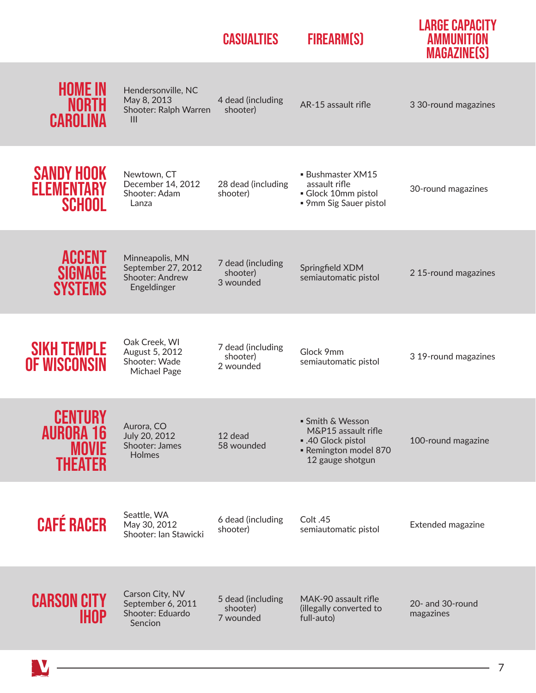

| <b>HOME IN</b><br><b>NORTH</b><br><b>CAROLINA</b>       | Hendersonville, NC<br>May 8, 2013<br>Shooter: Ralph Warren<br>$\mathbf{III}$ | 4 dead (including<br>shooter)              | AR-15 assault rifle                                                                                      | 3 30-round magazines          |
|---------------------------------------------------------|------------------------------------------------------------------------------|--------------------------------------------|----------------------------------------------------------------------------------------------------------|-------------------------------|
| <b>SANDY HOOK</b><br><b>ELEMENTARY</b><br><b>SCHOOL</b> | Newtown, CT<br>December 14, 2012<br>Shooter: Adam<br>Lanza                   | 28 dead (including<br>shooter)             | <b>Bushmaster XM15</b><br>assault rifle<br>Glock 10mm pistol<br>• 9mm Sig Sauer pistol                   | 30-round magazines            |
| <b>ACCENT</b><br><b>SIGNAGE</b><br><b>SYSTEMS</b>       | Minneapolis, MN<br>September 27, 2012<br>Shooter: Andrew<br>Engeldinger      | 7 dead (including<br>shooter)<br>3 wounded | Springfield XDM<br>semiautomatic pistol                                                                  | 215-round magazines           |
| <b>SIKH TEMPLE</b><br>OF WISCONSIN                      | Oak Creek, WI<br>August 5, 2012<br>Shooter: Wade<br>Michael Page             | 7 dead (including<br>shooter)<br>2 wounded | Glock 9mm<br>semiautomatic pistol                                                                        | 3 19-round magazines          |
| <b>CENTURY</b><br><b>AURORA 16</b><br><b>THEATER</b>    | Aurora, CO<br>July 20, 2012<br>Shooter: James<br><b>Holmes</b>               | 12 dead<br>58 wounded                      | · Smith & Wesson<br>M&P15 assault rifle<br>■ .40 Glock pistol<br>Remington model 870<br>12 gauge shotgun | 100-round magazine            |
| <b>CAFÉ RACER</b>                                       | Seattle, WA<br>May 30, 2012<br>Shooter: Ian Stawicki                         | 6 dead (including<br>shooter)              | Colt .45<br>semiautomatic pistol                                                                         | Extended magazine             |
| <b>CARSON CITY</b><br><b>IHOP</b>                       | Carson City, NV<br>September 6, 2011<br>Shooter: Eduardo<br>Sencion          | 5 dead (including<br>shooter)<br>7 wounded | MAK-90 assault rifle<br>(illegally converted to<br>full-auto)                                            | 20- and 30-round<br>magazines |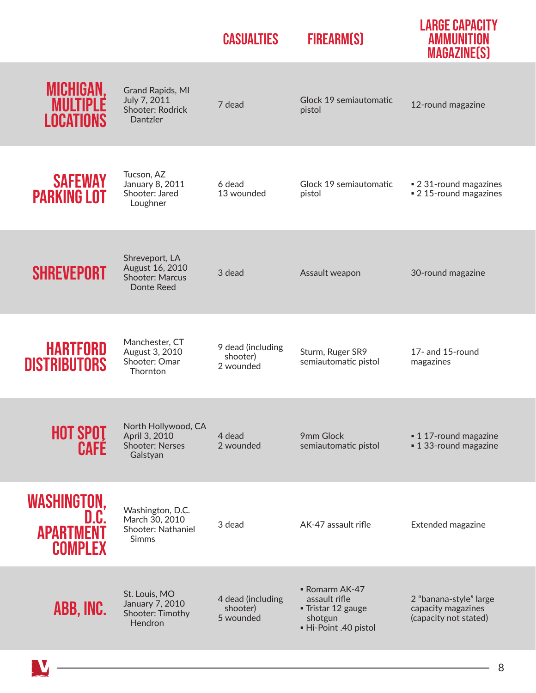

| MICHIGAN,<br>MULTIPLE<br><b>LOCATIONS</b>         | Grand Rapids, MI<br>July 7, 2011<br>Shooter: Rodrick<br><b>Dantzler</b>    | 7 dead                                     | Glock 19 semiautomatic<br>pistol                                                          | 12-round magazine                                                     |
|---------------------------------------------------|----------------------------------------------------------------------------|--------------------------------------------|-------------------------------------------------------------------------------------------|-----------------------------------------------------------------------|
| <b>SAFEWAY</b><br><b>PARKING LOT</b>              | Tucson, AZ<br>January 8, 2011<br>Shooter: Jared<br>Loughner                | 6 dead<br>13 wounded                       | Glock 19 semiautomatic<br>pistol                                                          | ■ 2 31-round magazines<br>• 215-round magazines                       |
| <b>SHREVEPORT</b>                                 | Shreveport, LA<br>August 16, 2010<br><b>Shooter: Marcus</b><br>Donte Reed  | 3 dead                                     | Assault weapon                                                                            | 30-round magazine                                                     |
| <b>HARTFORD</b><br><b>DISTRIBUTORS</b>            | Manchester, CT<br>August 3, 2010<br>Shooter: Omar<br>Thornton              | 9 dead (including<br>shooter)<br>2 wounded | Sturm, Ruger SR9<br>semiautomatic pistol                                                  | 17- and 15-round<br>magazines                                         |
| <b>HOT SPOT</b><br>CAFÈ                           | North Hollywood, CA<br>April 3, 2010<br><b>Shooter: Nerses</b><br>Galstyan | 4 dead<br>2 wounded                        | 9mm Glock<br>semiautomatic pistol                                                         | • 117-round magazine<br>• 1 33-round magazine                         |
| <b>WASHINGTON,</b><br><b>APARTMENT</b><br>COMPLEX | Washington, D.C.<br>March 30, 2010<br>Shooter: Nathaniel<br><b>Simms</b>   | 3 dead                                     | AK-47 assault rifle                                                                       | Extended magazine                                                     |
| ABB, INC.                                         | St. Louis, MO<br>January 7, 2010<br>Shooter: Timothy<br>Hendron            | 4 dead (including<br>shooter)<br>5 wounded | - Romarm AK-47<br>assault rifle<br>" Tristar 12 gauge<br>shotgun<br>- Hi-Point .40 pistol | 2 "banana-style" large<br>capacity magazines<br>(capacity not stated) |
|                                                   |                                                                            |                                            |                                                                                           | 8                                                                     |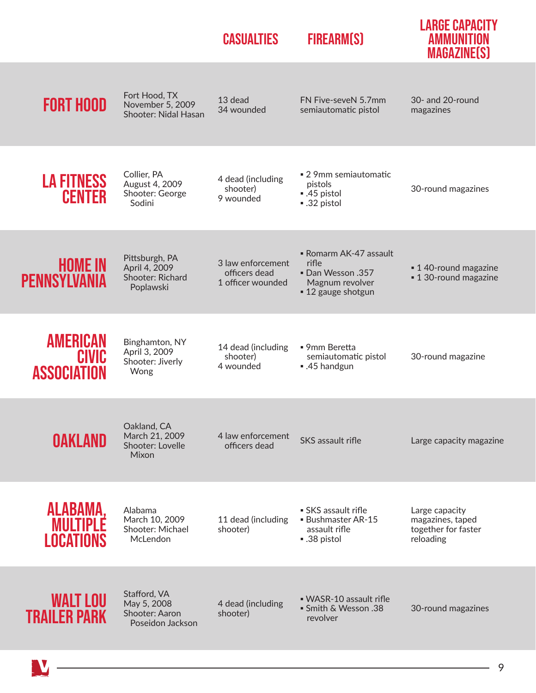

9

| <b>FORT HOOD</b>                                      | Fort Hood, TX<br>November 5, 2009<br>Shooter: Nidal Hasan         | 13 dead<br>34 wounded                                   | FN Five-seveN 5.7mm<br>semiautomatic pistol                                                   | 30- and 20-round<br>magazines                                          |
|-------------------------------------------------------|-------------------------------------------------------------------|---------------------------------------------------------|-----------------------------------------------------------------------------------------------|------------------------------------------------------------------------|
| <b>LA FITNESS</b><br><b>CENTER</b>                    | Collier, PA<br>August 4, 2009<br>Shooter: George<br>Sodini        | 4 dead (including<br>shooter)<br>9 wounded              | • 2 9mm semiautomatic<br>pistols<br>■ .45 pistol<br>■ .32 pistol                              | 30-round magazines                                                     |
| <b>HOME IN</b><br>PENNSYLVANIA                        | Pittsburgh, PA<br>April 4, 2009<br>Shooter: Richard<br>Poplawski  | 3 law enforcement<br>officers dead<br>1 officer wounded | • Romarm AK-47 assault<br>rifle<br>- Dan Wesson .357<br>Magnum revolver<br>• 12 gauge shotgun | • 140-round magazine<br>■ 1 30-round magazine                          |
| <b>AMERICAN</b><br><b>CIVIC</b><br><b>ASSOCIATION</b> | Binghamton, NY<br>April 3, 2009<br>Shooter: Jiverly<br>Wong       | 14 dead (including<br>shooter)<br>4 wounded             | • 9mm Beretta<br>semiautomatic pistol<br>■ .45 handgun                                        | 30-round magazine                                                      |
| OAKLAND                                               | Oakland, CA<br>March 21, 2009<br>Shooter: Lovelle<br><b>Mixon</b> | 4 law enforcement<br>officers dead                      | SKS assault rifle                                                                             | Large capacity magazine                                                |
| ALABAMA,<br>MULTIPLE<br><b>LOCATIONS</b>              | Alabama<br>March 10, 2009<br>Shooter: Michael<br>McLendon         | 11 dead (including<br>shooter)                          | • SKS assault rifle<br><b>Bushmaster AR-15</b><br>assault rifle<br>■ .38 pistol               | Large capacity<br>magazines, taped<br>together for faster<br>reloading |
| <b>WALT LOU</b><br><b>TRAILER PARK</b>                | Stafford, VA<br>May 5, 2008<br>Shooter: Aaron<br>Poseidon Jackson | 4 dead (including<br>shooter)                           | • WASR-10 assault rifle<br>Smith & Wesson .38<br>revolver                                     | 30-round magazines                                                     |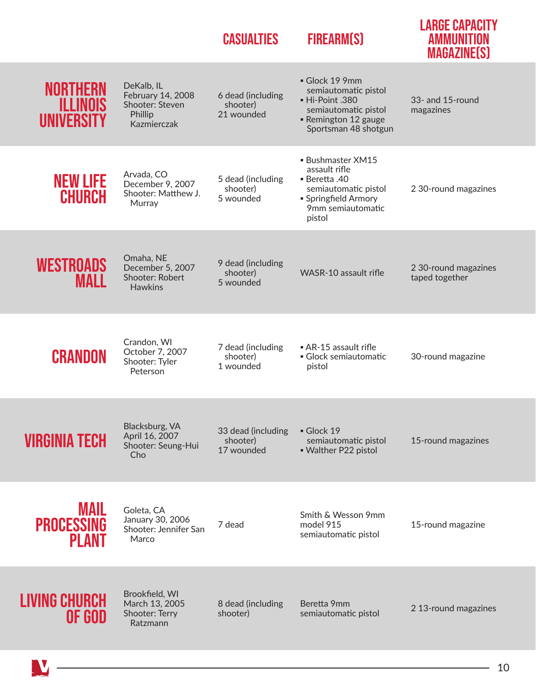

10

| <b>NORTHERN</b><br><b>ILLINOIS</b><br><b>UNIVERSITY</b> | DeKalb, IL<br>February 14, 2008<br>Shooter: Steven<br>Phillip<br>Kazmierczak | 6 dead (including<br>shooter)<br>21 wounded  | Glock 19 9mm<br>semiautomatic pistol<br>■ Hi-Point .380<br>semiautomatic pistol<br>• Remington 12 gauge<br>Sportsman 48 shotgun         | 33- and 15-round<br>magazines          |
|---------------------------------------------------------|------------------------------------------------------------------------------|----------------------------------------------|-----------------------------------------------------------------------------------------------------------------------------------------|----------------------------------------|
| <b>NEW LIFE</b><br><b>CHURCH</b>                        | Arvada, CO<br>December 9, 2007<br>Shooter: Matthew J.<br>Murray              | 5 dead (including<br>shooter)<br>5 wounded   | <b>Bushmaster XM15</b><br>assault rifle<br>■ Beretta .40<br>semiautomatic pistol<br>• Springfield Armory<br>9mm semiautomatic<br>pistol | 2 30-round magazines                   |
| <b>WESTROADS</b><br><b>MALL</b>                         | Omaha, NE<br>December 5, 2007<br>Shooter: Robert<br><b>Hawkins</b>           | 9 dead (including<br>shooter)<br>5 wounded   | WASR-10 assault rifle                                                                                                                   | 2 30-round magazines<br>taped together |
| <b>CRANDON</b>                                          | Crandon, WI<br>October 7, 2007<br>Shooter: Tyler<br>Peterson                 | 7 dead (including<br>shooter)<br>1 wounded   | • AR-15 assault rifle<br>• Glock semiautomatic<br>pistol                                                                                | 30-round magazine                      |
| <b>VIRGINIA TECH</b>                                    | Blacksburg, VA<br>April 16, 2007<br>Shooter: Seung-Hui<br>Cho                | 33 dead (including<br>shooter)<br>17 wounded | Glock 19<br>semiautomatic pistol<br>• Walther P22 pistol                                                                                | 15-round magazines                     |
| <b>MAIL</b><br><b>PROCESSING</b><br><b>PLANT</b>        | Goleta, CA<br>January 30, 2006<br>Shooter: Jennifer San<br>Marco             | 7 dead                                       | Smith & Wesson 9mm<br>model 915<br>semiautomatic pistol                                                                                 | 15-round magazine                      |
| <b>LIVING CHURCH</b><br>OF GOD                          | Brookfield, WI<br>March 13, 2005<br>Shooter: Terry<br>Ratzmann               | 8 dead (including<br>shooter)                | Beretta 9mm<br>semiautomatic pistol                                                                                                     | 213-round magazines                    |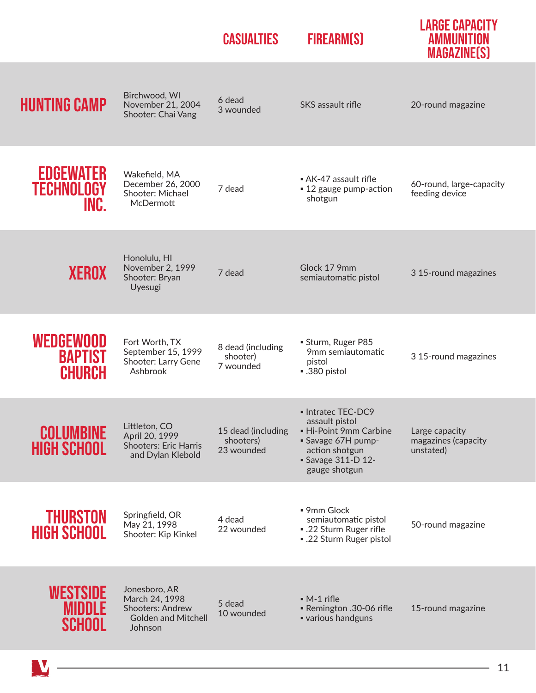

| <b>HUNTING CAMP</b>                           | Birchwood, WI<br>November 21, 2004<br>Shooter: Chai Vang                                            | 6 dead<br>3 wounded                           | SKS assault rifle                                                                                                                             | 20-round magazine                                  |
|-----------------------------------------------|-----------------------------------------------------------------------------------------------------|-----------------------------------------------|-----------------------------------------------------------------------------------------------------------------------------------------------|----------------------------------------------------|
| <b>EDGEWATER</b><br><b>TECHNOLOGY</b><br>INC. | Wakefield, MA<br>December 26, 2000<br>Shooter: Michael<br>McDermott                                 | 7 dead                                        | • AK-47 assault rifle<br>■ 12 gauge pump-action<br>shotgun                                                                                    | 60-round, large-capacity<br>feeding device         |
| <b>XEROX</b>                                  | Honolulu, HI<br>November 2, 1999<br>Shooter: Bryan<br>Uyesugi                                       | 7 dead                                        | Glock 17 9mm<br>semiautomatic pistol                                                                                                          | 3 15-round magazines                               |
| WEDGEWOOD<br><b>BAPTIST</b><br><b>CHURCH</b>  | Fort Worth, TX<br>September 15, 1999<br>Shooter: Larry Gene<br>Ashbrook                             | 8 dead (including<br>shooter)<br>7 wounded    | Sturm, Ruger P85<br>9mm semiautomatic<br>pistol<br>■ .380 pistol                                                                              | 3 15-round magazines                               |
| <b>COLUMBINE</b><br><b>HIGH SCHOOL</b>        | Littleton, CO<br>April 20, 1999<br><b>Shooters: Eric Harris</b><br>and Dylan Klebold                | 15 dead (including<br>shooters)<br>23 wounded | • Intratec TEC-DC9<br>assault pistol<br>• Hi-Point 9mm Carbine<br>· Savage 67H pump-<br>action shotgun<br>• Savage 311-D 12-<br>gauge shotgun | Large capacity<br>magazines (capacity<br>unstated) |
| <b>THURSTON</b><br><b>HIGH SCHOOL</b>         | Springfield, OR<br>May 21, 1998<br>Shooter: Kip Kinkel                                              | 4 dead<br>22 wounded                          | ■ 9mm Glock<br>semiautomatic pistol<br>■ .22 Sturm Ruger rifle<br>■ .22 Sturm Ruger pistol                                                    | 50-round magazine                                  |
| <b>WESTSIDE</b><br>MIDDLE<br>SCHOOL           | Jonesboro, AR<br>March 24, 1998<br><b>Shooters: Andrew</b><br><b>Golden and Mitchell</b><br>Johnson | 5 dead<br>10 wounded                          | $-M-1$ rifle<br>- Remington .30-06 rifle<br>• various handguns                                                                                | 15-round magazine                                  |
|                                               |                                                                                                     |                                               |                                                                                                                                               |                                                    |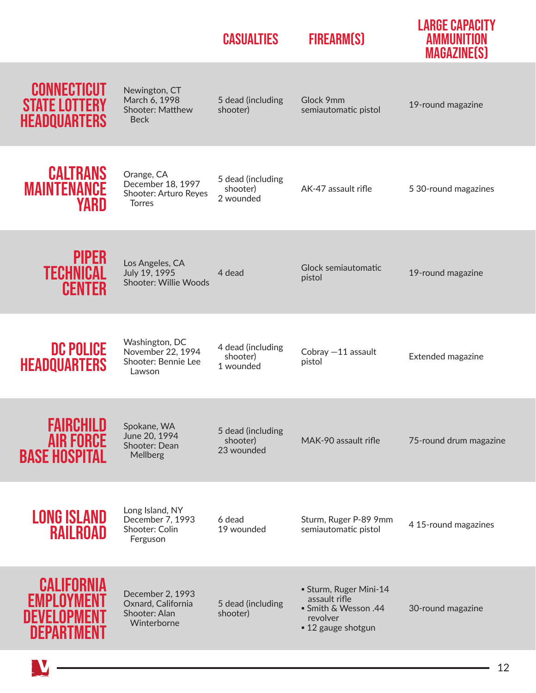

| <b>CONNECTICUT</b><br><b><i>STATE LOTTERY</i></b><br><b>HEADQUARTERS</b>  | Newington, CT<br>March 6, 1998<br><b>Shooter: Matthew</b><br><b>Beck</b>  | 5 dead (including<br>shooter)               | Glock 9mm<br>semiautomatic pistol                                                                 | 19-round magazine      |
|---------------------------------------------------------------------------|---------------------------------------------------------------------------|---------------------------------------------|---------------------------------------------------------------------------------------------------|------------------------|
| <b>CALTRANS</b><br><b>MAINTENANCE</b><br><b>YARD</b>                      | Orange, CA<br>December 18, 1997<br>Shooter: Arturo Reyes<br><b>Torres</b> | 5 dead (including<br>shooter)<br>2 wounded  | AK-47 assault rifle                                                                               | 5 30-round magazines   |
| <b>PIPER</b><br>TECHNICAL<br><b>CENTER</b>                                | Los Angeles, CA<br>July 19, 1995<br>Shooter: Willie Woods                 | 4 dead                                      | Glock semiautomatic<br>pistol                                                                     | 19-round magazine      |
| <b>DC POLICE</b><br><b>HEADQUARTERS</b>                                   | Washington, DC<br>November 22, 1994<br>Shooter: Bennie Lee<br>Lawson      | 4 dead (including<br>shooter)<br>1 wounded  | Cobray -11 assault<br>pistol                                                                      | Extended magazine      |
| <b>FAIRCHILD</b><br><b>AIR FORCE</b><br><b>BASE HOSPI</b>                 | Spokane, WA<br>June 20, 1994<br>Shooter: Dean<br>Mellberg                 | 5 dead (including<br>shooter)<br>23 wounded | MAK-90 assault rifle                                                                              | 75-round drum magazine |
| <b>LONG ISLAND</b><br><b>RAILROAD</b>                                     | Long Island, NY<br>December 7, 1993<br>Shooter: Colin<br>Ferguson         | 6 dead<br>19 wounded                        | Sturm, Ruger P-89 9mm<br>semiautomatic pistol                                                     | 4 15-round magazines   |
| CALIFORNIA<br><b>FMPI OYMFI</b><br><b>DEVELOPMEI</b><br><b>DEPARTMENT</b> | December 2, 1993<br>Oxnard, California<br>Shooter: Alan<br>Winterborne    | 5 dead (including<br>shooter)               | · Sturm, Ruger Mini-14<br>assault rifle<br>• Smith & Wesson .44<br>revolver<br>■ 12 gauge shotgun | 30-round magazine      |
|                                                                           |                                                                           |                                             |                                                                                                   |                        |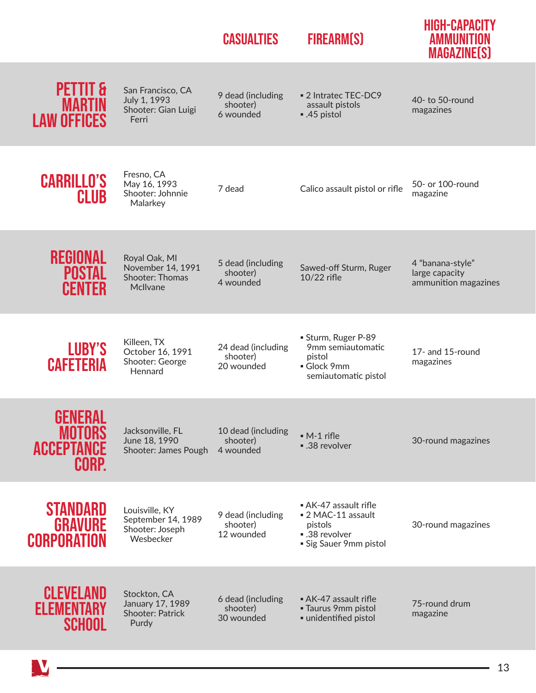

| <b>PETTIT &amp;</b><br><b>MARTIN</b><br><b>LAW OFFICES</b> | San Francisco, CA<br>July 1, 1993<br>Shooter: Gian Luigi<br>Ferri    | 9 dead (including<br>shooter)<br>6 wounded   | • 2 Intratec TEC-DC9<br>assault pistols<br>$-45$ pistol                                            | 40- to 50-round<br>magazines                               |
|------------------------------------------------------------|----------------------------------------------------------------------|----------------------------------------------|----------------------------------------------------------------------------------------------------|------------------------------------------------------------|
| <b>CARRILLO'S</b><br><b>CLUB</b>                           | Fresno, CA<br>May 16, 1993<br>Shooter: Johnnie<br>Malarkey           | 7 dead                                       | Calico assault pistol or rifle                                                                     | 50- or 100-round<br>magazine                               |
| REGIONAL<br><b>POSTAL</b><br><b>CENTER</b>                 | Royal Oak, MI<br>November 14, 1991<br>Shooter: Thomas<br>McIlvane    | 5 dead (including<br>shooter)<br>4 wounded   | Sawed-off Sturm, Ruger<br>10/22 rifle                                                              | 4 "banana-style"<br>large capacity<br>ammunition magazines |
| <b>LUBY'S</b><br><b>CAFETERIA</b>                          | Killeen, TX<br>October 16, 1991<br>Shooter: George<br>Hennard        | 24 dead (including<br>shooter)<br>20 wounded | Sturm, Ruger P-89<br>9mm semiautomatic<br>pistol<br>Glock 9mm<br>semiautomatic pistol              | 17- and 15-round<br>magazines                              |
| <b>GENERAL</b><br>ACCEPTANCE<br>CORP.                      | Jacksonville, FL<br>June 18, 1990<br>Shooter: James Pough            | 10 dead (including<br>shooter)<br>4 wounded  | $-M-1$ rifle<br>■ .38 revolver                                                                     | 30-round magazines                                         |
| STANDARD<br><b>GRAVURE</b><br><b>CORPORATION</b>           | Louisville, KY<br>September 14, 1989<br>Shooter: Joseph<br>Wesbecker | 9 dead (including<br>shooter)<br>12 wounded  | • AK-47 assault rifle<br>■ 2 MAC-11 assault<br>pistols<br>■ .38 revolver<br>• Sig Sauer 9mm pistol | 30-round magazines                                         |
| <b>CLEVELAND</b><br>ELEMENTARY<br><b>SCHOOL</b>            | Stockton, CA<br>January 17, 1989<br><b>Shooter: Patrick</b><br>Purdy | 6 dead (including<br>shooter)<br>30 wounded  | • AK-47 assault rifle<br>• Taurus 9mm pistol<br>· unidentified pistol                              | 75-round drum<br>magazine                                  |

V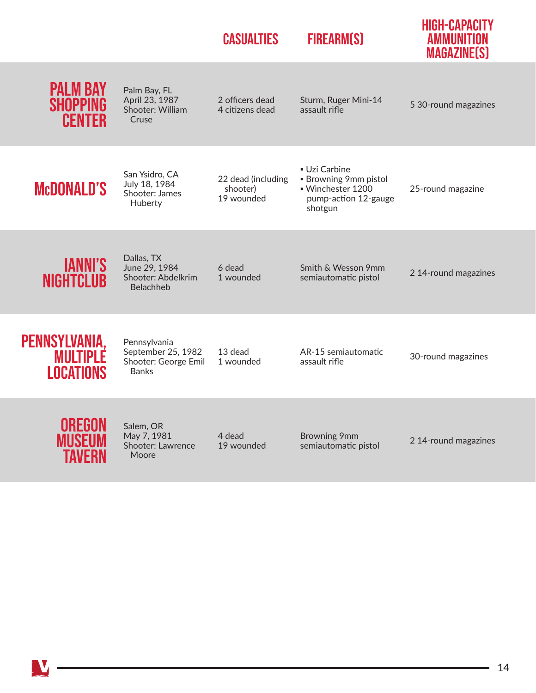

| <b>PALM BAY</b><br><b>SHOPPING</b><br><b>CENTER</b>  | Palm Bay, FL<br>April 23, 1987<br>Shooter: William<br>Cruse                | 2 officers dead<br>4 citizens dead           | Sturm, Ruger Mini-14<br>assault rifle                                                          | 5 30-round magazines |
|------------------------------------------------------|----------------------------------------------------------------------------|----------------------------------------------|------------------------------------------------------------------------------------------------|----------------------|
| <b>McDONALD'S</b>                                    | San Ysidro, CA<br>July 18, 1984<br>Shooter: James<br>Huberty               | 22 dead (including<br>shooter)<br>19 wounded | · Uzi Carbine<br>• Browning 9mm pistol<br>• Winchester 1200<br>pump-action 12-gauge<br>shotgun | 25-round magazine    |
| <b>IANNI'S</b><br><b>NIGHTCLUB</b>                   | Dallas, TX<br>June 29, 1984<br>Shooter: Abdelkrim<br><b>Belachheb</b>      | 6 dead<br>1 wounded                          | Smith & Wesson 9mm<br>semiautomatic pistol                                                     | 2 14-round magazines |
| PENNSYLVANIA,<br><b>MULTIPLE</b><br><b>LOCATIONS</b> | Pennsylvania<br>September 25, 1982<br>Shooter: George Emil<br><b>Banks</b> | 13 dead<br>1 wounded                         | AR-15 semiautomatic<br>assault rifle                                                           | 30-round magazines   |
| OREGON<br>MUSEIIN                                    | Salem, OR<br>May 7, 1981<br><b>Shooter: Lawrence</b><br>Moore              | 4 dead<br>19 wounded                         | <b>Browning 9mm</b><br>semiautomatic pistol                                                    | 214-round magazines  |